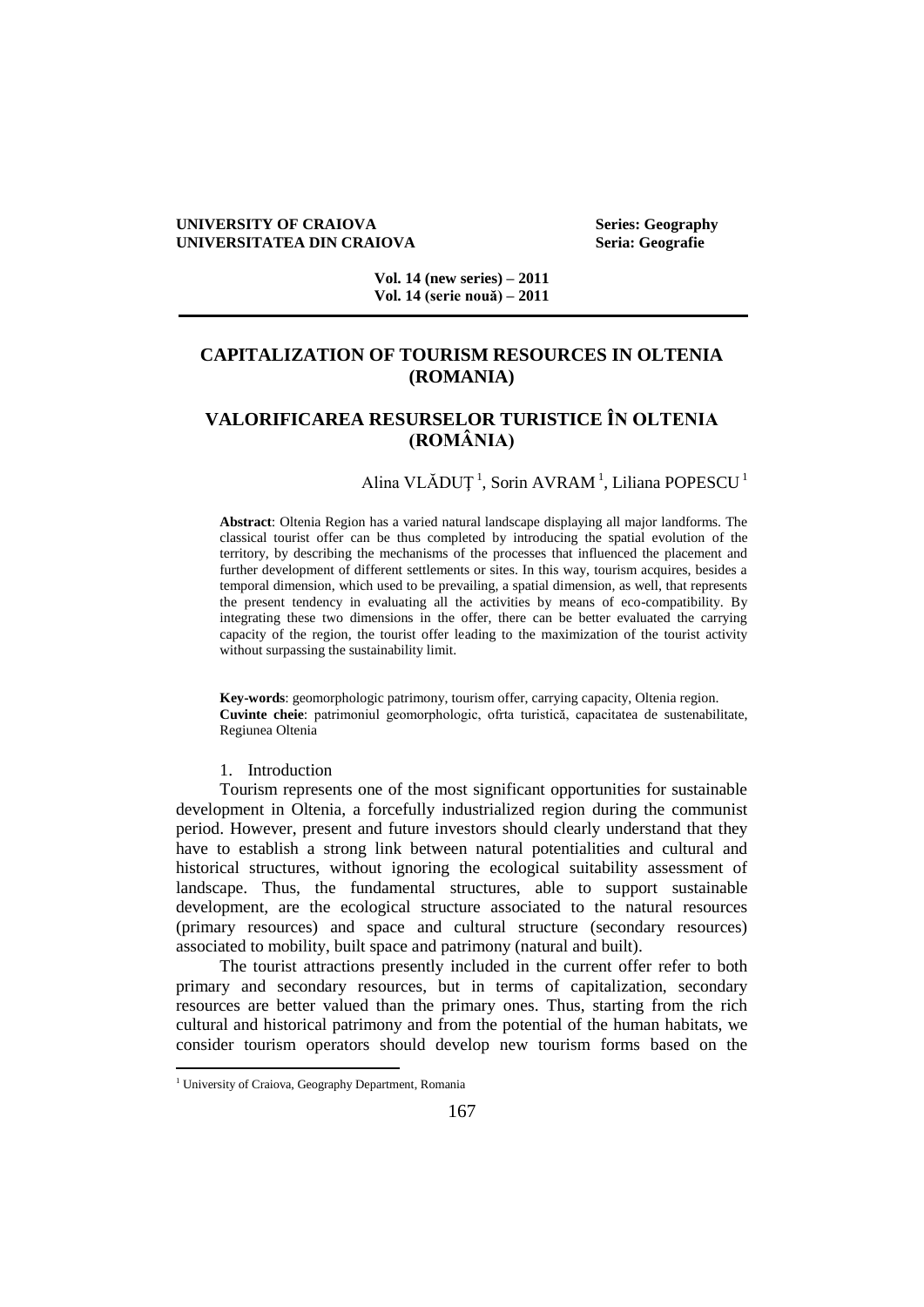#### **UNIVERSITY OF CRAIOVA Series: Geography UNIVERSITATEA DIN CRAIOVA Seria: Geografie**

**Vol. 14 (new series) – 2011 Vol. 14 (serie nouă) – 2011**

## **CAPITALIZATION OF TOURISM RESOURCES IN OLTENIA (ROMANIA)**

# **VALORIFICAREA RESURSELOR TURISTICE ÎN OLTENIA (ROMÂNIA)**

## Alina VLĂDUȚ<sup>1</sup>, Sorin AVRAM<sup>1</sup>, Liliana POPESCU<sup>1</sup>

**Abstract**: Oltenia Region has a varied natural landscape displaying all major landforms. The classical tourist offer can be thus completed by introducing the spatial evolution of the territory, by describing the mechanisms of the processes that influenced the placement and further development of different settlements or sites. In this way, tourism acquires, besides a temporal dimension, which used to be prevailing, a spatial dimension, as well, that represents the present tendency in evaluating all the activities by means of eco-compatibility. By integrating these two dimensions in the offer, there can be better evaluated the carrying capacity of the region, the tourist offer leading to the maximization of the tourist activity without surpassing the sustainability limit.

**Key-words**: geomorphologic patrimony, tourism offer, carrying capacity, Oltenia region. **Cuvinte cheie**: patrimoniul geomorphologic, ofrta turistică, capacitatea de sustenabilitate, Regiunea Oltenia

#### 1. Introduction

Tourism represents one of the most significant opportunities for sustainable development in Oltenia, a forcefully industrialized region during the communist period. However, present and future investors should clearly understand that they have to establish a strong link between natural potentialities and cultural and historical structures, without ignoring the ecological suitability assessment of landscape. Thus, the fundamental structures, able to support sustainable development, are the ecological structure associated to the natural resources (primary resources) and space and cultural structure (secondary resources) associated to mobility, built space and patrimony (natural and built).

The tourist attractions presently included in the current offer refer to both primary and secondary resources, but in terms of capitalization, secondary resources are better valued than the primary ones. Thus, starting from the rich cultural and historical patrimony and from the potential of the human habitats, we consider tourism operators should develop new tourism forms based on the

<sup>&</sup>lt;sup>1</sup> University of Craiova, Geography Department, Romania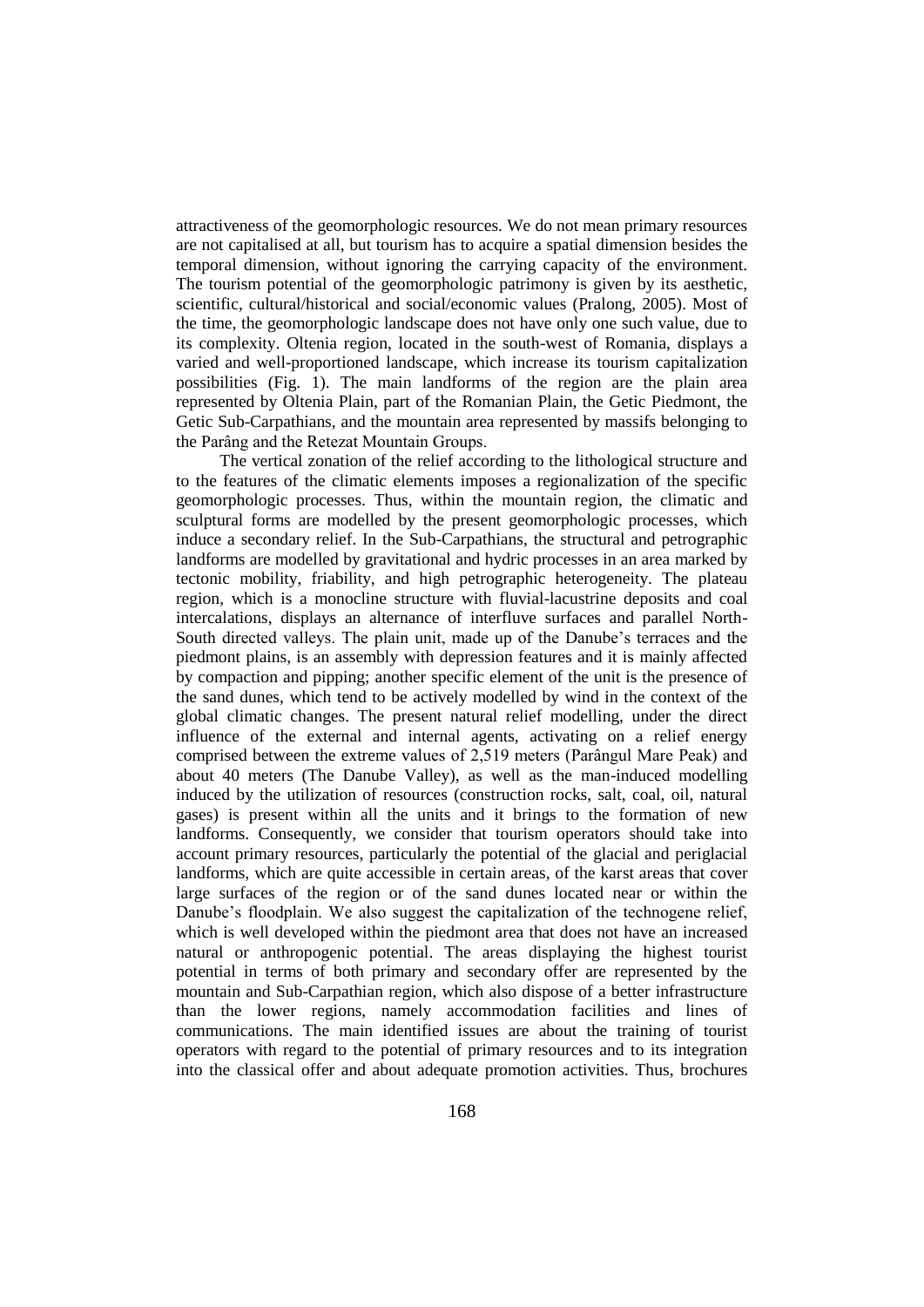attractiveness of the geomorphologic resources. We do not mean primary resources are not capitalised at all, but tourism has to acquire a spatial dimension besides the temporal dimension, without ignoring the carrying capacity of the environment. The tourism potential of the geomorphologic patrimony is given by its aesthetic, scientific, cultural/historical and social/economic values (Pralong, 2005). Most of the time, the geomorphologic landscape does not have only one such value, due to its complexity. Oltenia region, located in the south-west of Romania, displays a varied and well-proportioned landscape, which increase its tourism capitalization possibilities (Fig. 1). The main landforms of the region are the plain area represented by Oltenia Plain, part of the Romanian Plain, the Getic Piedmont, the Getic Sub-Carpathians, and the mountain area represented by massifs belonging to the Parâng and the Retezat Mountain Groups.

The vertical zonation of the relief according to the lithological structure and to the features of the climatic elements imposes a regionalization of the specific geomorphologic processes. Thus, within the mountain region, the climatic and sculptural forms are modelled by the present geomorphologic processes, which induce a secondary relief. In the Sub-Carpathians, the structural and petrographic landforms are modelled by gravitational and hydric processes in an area marked by tectonic mobility, friability, and high petrographic heterogeneity. The plateau region, which is a monocline structure with fluvial-lacustrine deposits and coal intercalations, displays an alternance of interfluve surfaces and parallel North-South directed valleys. The plain unit, made up of the Danube's terraces and the piedmont plains, is an assembly with depression features and it is mainly affected by compaction and pipping; another specific element of the unit is the presence of the sand dunes, which tend to be actively modelled by wind in the context of the global climatic changes. The present natural relief modelling, under the direct influence of the external and internal agents, activating on a relief energy comprised between the extreme values of 2,519 meters (Parângul Mare Peak) and about 40 meters (The Danube Valley), as well as the man-induced modelling induced by the utilization of resources (construction rocks, salt, coal, oil, natural gases) is present within all the units and it brings to the formation of new landforms. Consequently, we consider that tourism operators should take into account primary resources, particularly the potential of the glacial and periglacial landforms, which are quite accessible in certain areas, of the karst areas that cover large surfaces of the region or of the sand dunes located near or within the Danube's floodplain. We also suggest the capitalization of the technogene relief, which is well developed within the piedmont area that does not have an increased natural or anthropogenic potential. The areas displaying the highest tourist potential in terms of both primary and secondary offer are represented by the mountain and Sub-Carpathian region, which also dispose of a better infrastructure than the lower regions, namely accommodation facilities and lines of communications. The main identified issues are about the training of tourist operators with regard to the potential of primary resources and to its integration into the classical offer and about adequate promotion activities. Thus, brochures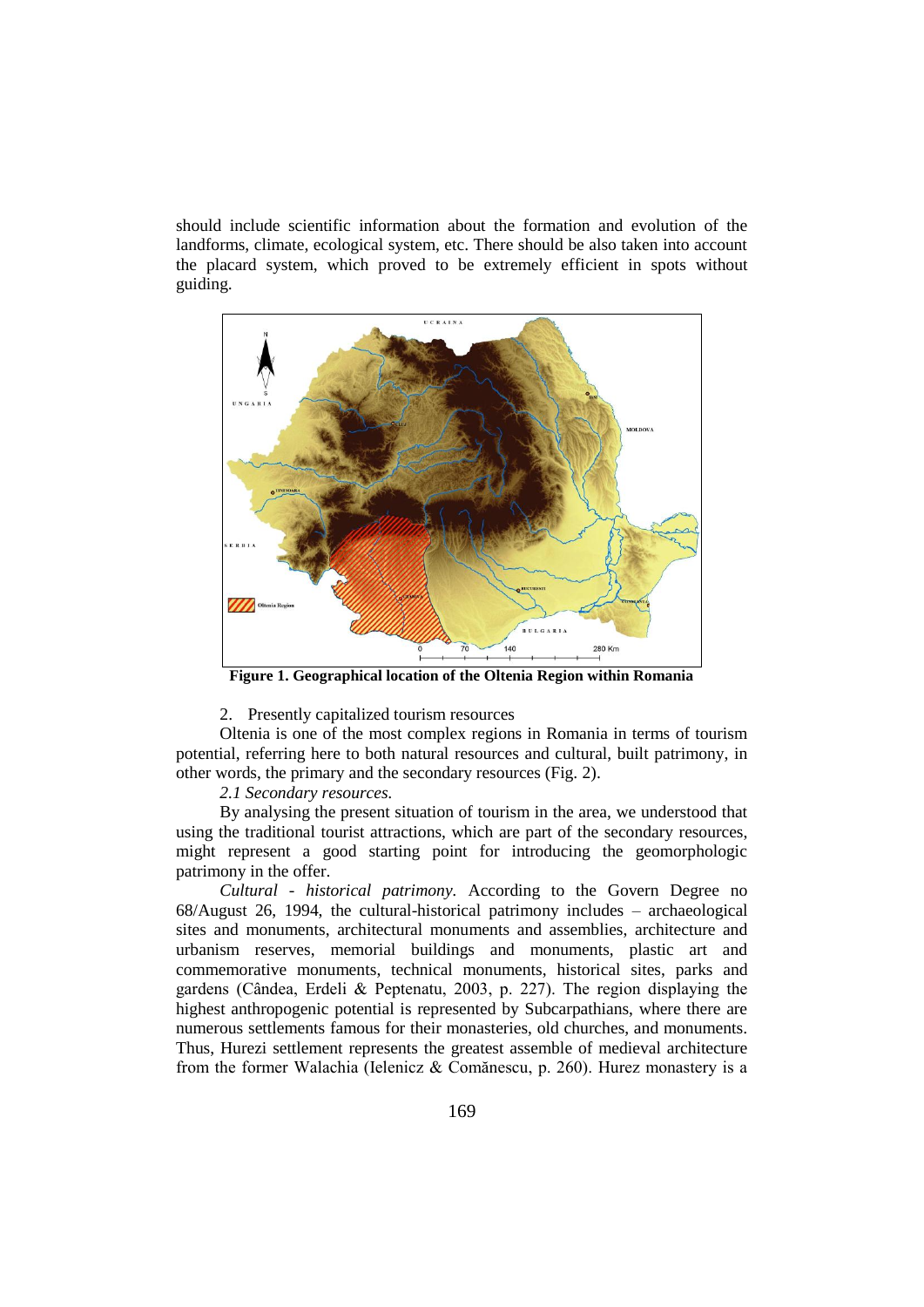should include scientific information about the formation and evolution of the landforms, climate, ecological system, etc. There should be also taken into account the placard system, which proved to be extremely efficient in spots without guiding.



**Figure 1. Geographical location of the Oltenia Region within Romania**

2. Presently capitalized tourism resources

Oltenia is one of the most complex regions in Romania in terms of tourism potential, referring here to both natural resources and cultural, built patrimony, in other words, the primary and the secondary resources (Fig. 2).

*2.1 Secondary resources.*

By analysing the present situation of tourism in the area, we understood that using the traditional tourist attractions, which are part of the secondary resources, might represent a good starting point for introducing the geomorphologic patrimony in the offer.

*Cultural - historical patrimony.* According to the Govern Degree no 68/August 26, 1994, the cultural-historical patrimony includes – archaeological sites and monuments, architectural monuments and assemblies, architecture and urbanism reserves, memorial buildings and monuments, plastic art and commemorative monuments, technical monuments, historical sites, parks and gardens (Cândea, Erdeli & Peptenatu, 2003, p. 227). The region displaying the highest anthropogenic potential is represented by Subcarpathians, where there are numerous settlements famous for their monasteries, old churches, and monuments. Thus, Hurezi settlement represents the greatest assemble of medieval architecture from the former Walachia (Ielenicz & Comănescu, p. 260). Hurez monastery is a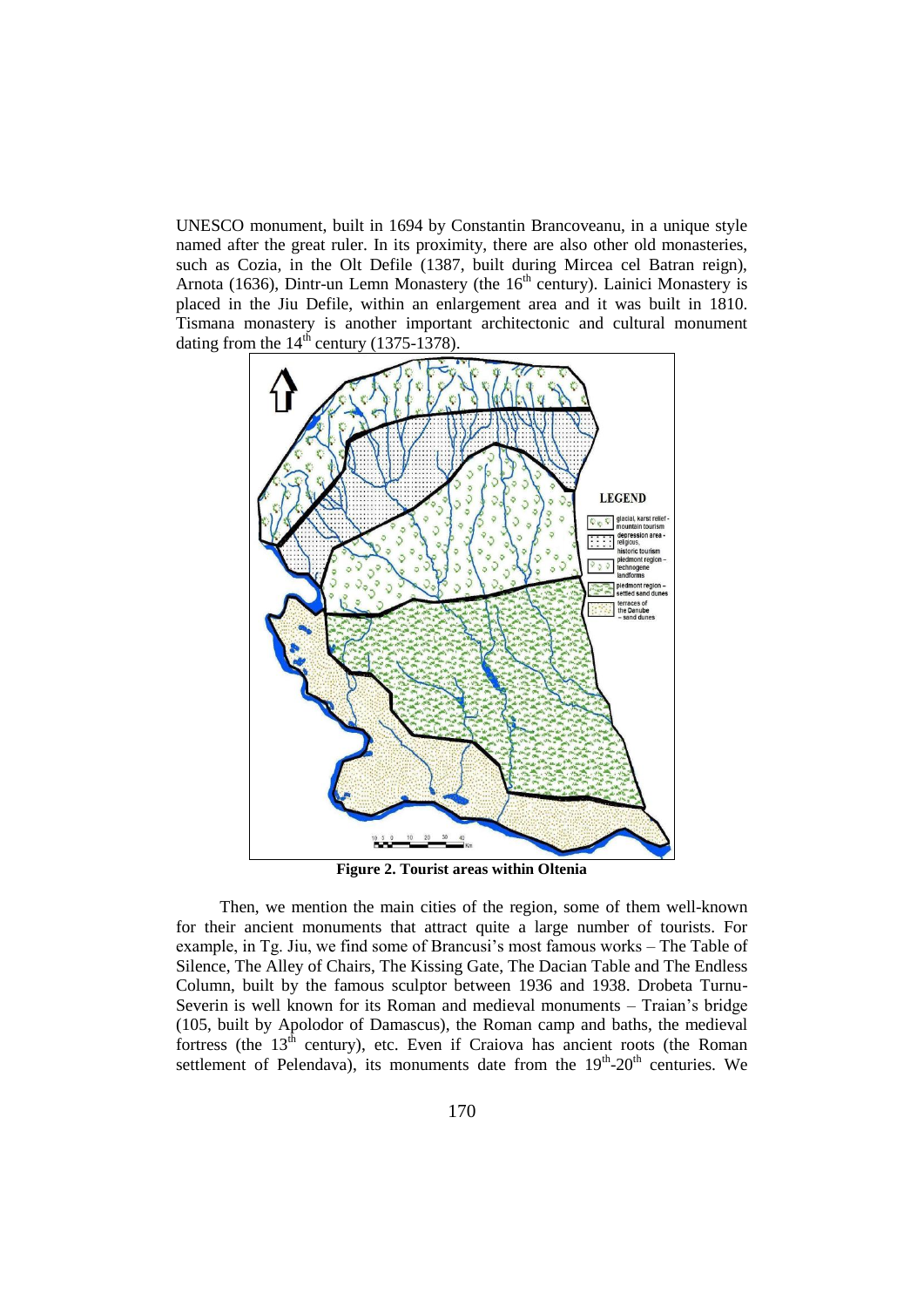UNESCO monument, built in 1694 by Constantin Brancoveanu, in a unique style named after the great ruler. In its proximity, there are also other old monasteries, such as Cozia, in the Olt Defile (1387, built during Mircea cel Batran reign), Arnota (1636), Dintr-un Lemn Monastery (the  $16<sup>th</sup>$  century). Lainici Monastery is placed in the Jiu Defile, within an enlargement area and it was built in 1810. Tismana monastery is another important architectonic and cultural monument dating from the  $14<sup>th</sup>$  century (1375-1378).



**Figure 2. Tourist areas within Oltenia**

Then, we mention the main cities of the region, some of them well-known for their ancient monuments that attract quite a large number of tourists. For example, in Tg. Jiu, we find some of Brancusi's most famous works – The Table of Silence, The Alley of Chairs, The Kissing Gate, The Dacian Table and The Endless Column, built by the famous sculptor between 1936 and 1938. Drobeta Turnu-Severin is well known for its Roman and medieval monuments – Traian's bridge (105, built by Apolodor of Damascus), the Roman camp and baths, the medieval fortress (the  $13<sup>th</sup>$  century), etc. Even if Craiova has ancient roots (the Roman settlement of Pelendava), its monuments date from the  $19<sup>th</sup>$ -20<sup>th</sup> centuries. We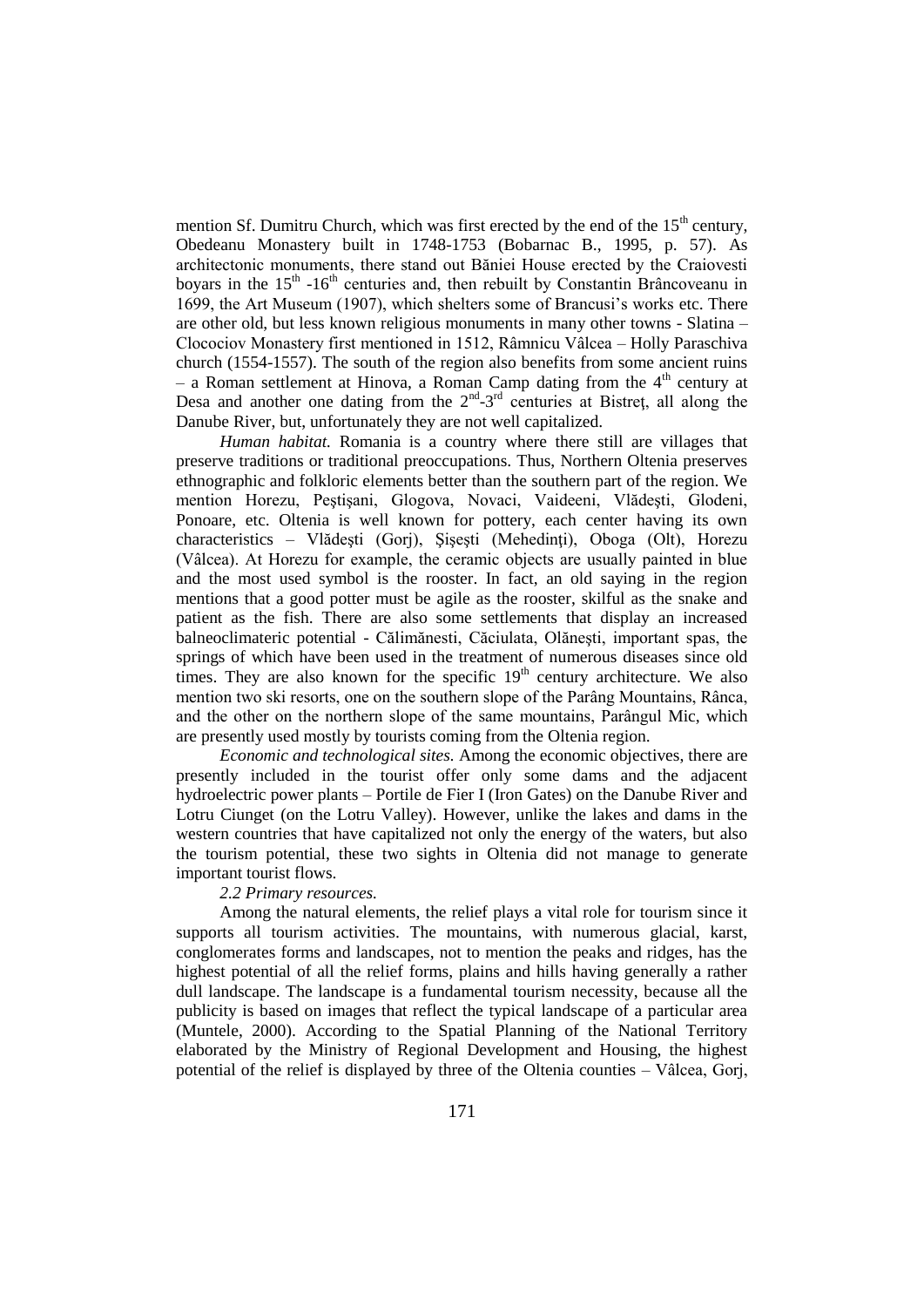mention Sf. Dumitru Church, which was first erected by the end of the  $15<sup>th</sup>$  century, Obedeanu Monastery built in 1748-1753 (Bobarnac B., 1995, p. 57). As architectonic monuments, there stand out Băniei House erected by the Craiovesti boyars in the 15<sup>th</sup> -16<sup>th</sup> centuries and, then rebuilt by Constantin Brâncoveanu in 1699, the Art Museum (1907), which shelters some of Brancusi's works etc. There are other old, but less known religious monuments in many other towns - Slatina – Clocociov Monastery first mentioned in 1512, Râmnicu Vâlcea – Holly Paraschiva church (1554-1557). The south of the region also benefits from some ancient ruins – a Roman settlement at Hinova, a Roman Camp dating from the  $4<sup>th</sup>$  century at Desa and another one dating from the  $2^{nd}$ -3<sup>rd</sup> centuries at Bistret, all along the Danube River, but, unfortunately they are not well capitalized.

*Human habitat.* Romania is a country where there still are villages that preserve traditions or traditional preoccupations. Thus, Northern Oltenia preserves ethnographic and folkloric elements better than the southern part of the region. We mention Horezu, Peştişani, Glogova, Novaci, Vaideeni, Vlădeşti, Glodeni, Ponoare, etc. Oltenia is well known for pottery, each center having its own characteristics – Vlădeşti (Gorj), Şişeşti (Mehedinţi), Oboga (Olt), Horezu (Vâlcea). At Horezu for example, the ceramic objects are usually painted in blue and the most used symbol is the rooster. In fact, an old saying in the region mentions that a good potter must be agile as the rooster, skilful as the snake and patient as the fish. There are also some settlements that display an increased balneoclimateric potential - Călimănesti, Căciulata, Olăneşti, important spas, the springs of which have been used in the treatment of numerous diseases since old times. They are also known for the specific  $19<sup>th</sup>$  century architecture. We also mention two ski resorts, one on the southern slope of the Parâng Mountains, Rânca, and the other on the northern slope of the same mountains, Parângul Mic, which are presently used mostly by tourists coming from the Oltenia region.

*Economic and technological sites.* Among the economic objectives, there are presently included in the tourist offer only some dams and the adjacent hydroelectric power plants – Portile de Fier I (Iron Gates) on the Danube River and Lotru Ciunget (on the Lotru Valley). However, unlike the lakes and dams in the western countries that have capitalized not only the energy of the waters, but also the tourism potential, these two sights in Oltenia did not manage to generate important tourist flows.

#### *2.2 Primary resources.*

Among the natural elements, the relief plays a vital role for tourism since it supports all tourism activities. The mountains, with numerous glacial, karst, conglomerates forms and landscapes, not to mention the peaks and ridges, has the highest potential of all the relief forms, plains and hills having generally a rather dull landscape. The landscape is a fundamental tourism necessity, because all the publicity is based on images that reflect the typical landscape of a particular area (Muntele, 2000). According to the Spatial Planning of the National Territory elaborated by the Ministry of Regional Development and Housing, the highest potential of the relief is displayed by three of the Oltenia counties – Vâlcea, Gorj,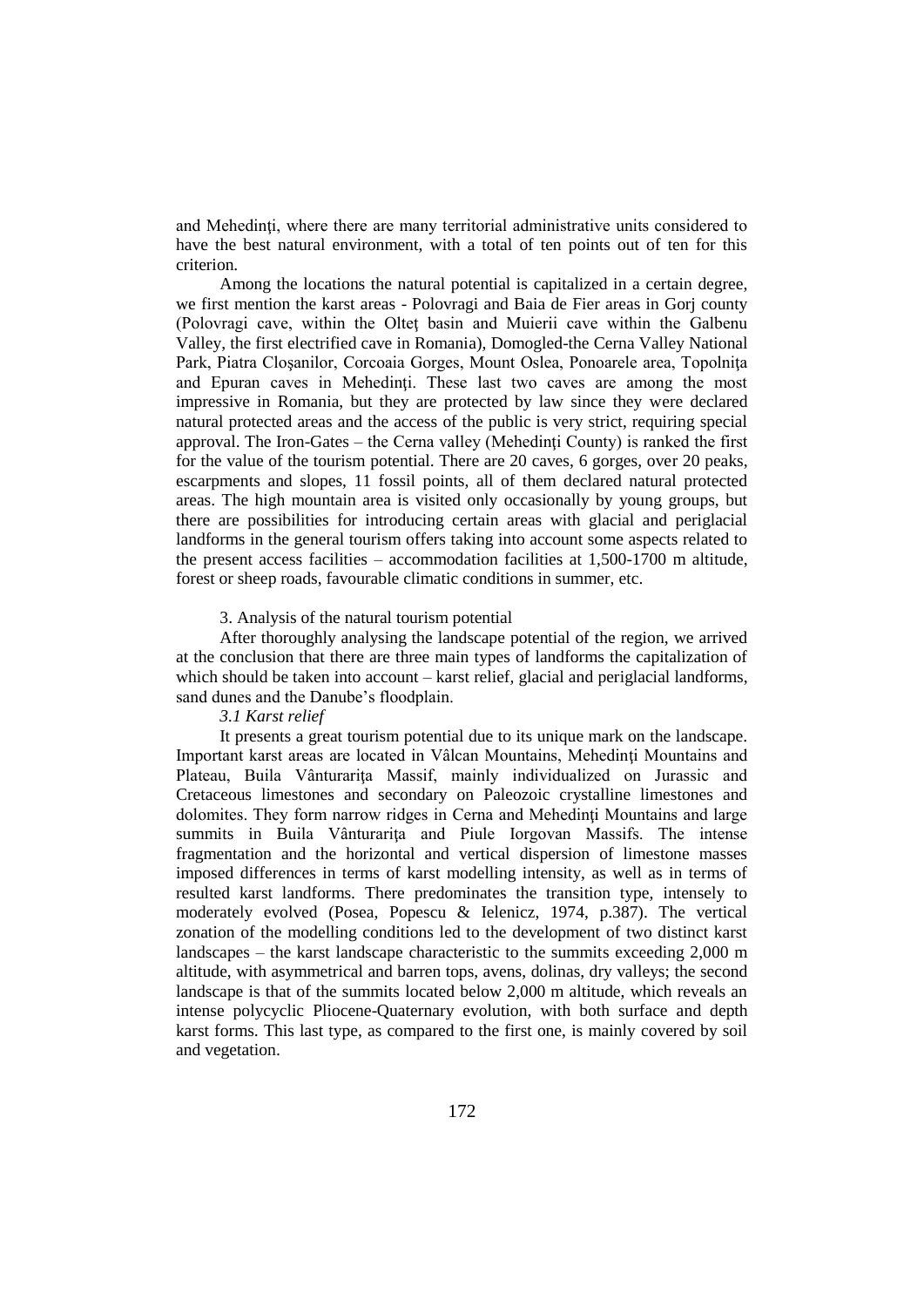and Mehedinti, where there are many territorial administrative units considered to have the best natural environment, with a total of ten points out of ten for this criterion.

Among the locations the natural potential is capitalized in a certain degree, we first mention the karst areas - Polovragi and Baia de Fier areas in Gorj county (Polovragi cave, within the Olteţ basin and Muierii cave within the Galbenu Valley, the first electrified cave in Romania), Domogled-the Cerna Valley National Park, Piatra Cloşanilor, Corcoaia Gorges, Mount Oslea, Ponoarele area, Topolniţa and Epuran caves in Mehedinți. These last two caves are among the most impressive in Romania, but they are protected by law since they were declared natural protected areas and the access of the public is very strict, requiring special approval. The Iron-Gates – the Cerna valley (Mehedinţi County) is ranked the first for the value of the tourism potential. There are 20 caves, 6 gorges, over 20 peaks, escarpments and slopes, 11 fossil points, all of them declared natural protected areas. The high mountain area is visited only occasionally by young groups, but there are possibilities for introducing certain areas with glacial and periglacial landforms in the general tourism offers taking into account some aspects related to the present access facilities – accommodation facilities at 1,500-1700 m altitude, forest or sheep roads, favourable climatic conditions in summer, etc.

#### 3. Analysis of the natural tourism potential

After thoroughly analysing the landscape potential of the region, we arrived at the conclusion that there are three main types of landforms the capitalization of which should be taken into account – karst relief, glacial and periglacial landforms, sand dunes and the Danube's floodplain.

#### *3.1 Karst relief*

It presents a great tourism potential due to its unique mark on the landscape. Important karst areas are located in Vâlcan Mountains, Mehedinţi Mountains and Plateau, Buila Vânturarița Massif, mainly individualized on Jurassic and Cretaceous limestones and secondary on Paleozoic crystalline limestones and dolomites. They form narrow ridges in Cerna and Mehedinți Mountains and large summits in Buila Vânturariţa and Piule Iorgovan Massifs. The intense fragmentation and the horizontal and vertical dispersion of limestone masses imposed differences in terms of karst modelling intensity, as well as in terms of resulted karst landforms. There predominates the transition type, intensely to moderately evolved (Posea, Popescu & Ielenicz, 1974, p.387). The vertical zonation of the modelling conditions led to the development of two distinct karst landscapes – the karst landscape characteristic to the summits exceeding 2,000 m altitude, with asymmetrical and barren tops, avens, dolinas, dry valleys; the second landscape is that of the summits located below 2,000 m altitude, which reveals an intense polycyclic Pliocene-Quaternary evolution, with both surface and depth karst forms. This last type, as compared to the first one, is mainly covered by soil and vegetation.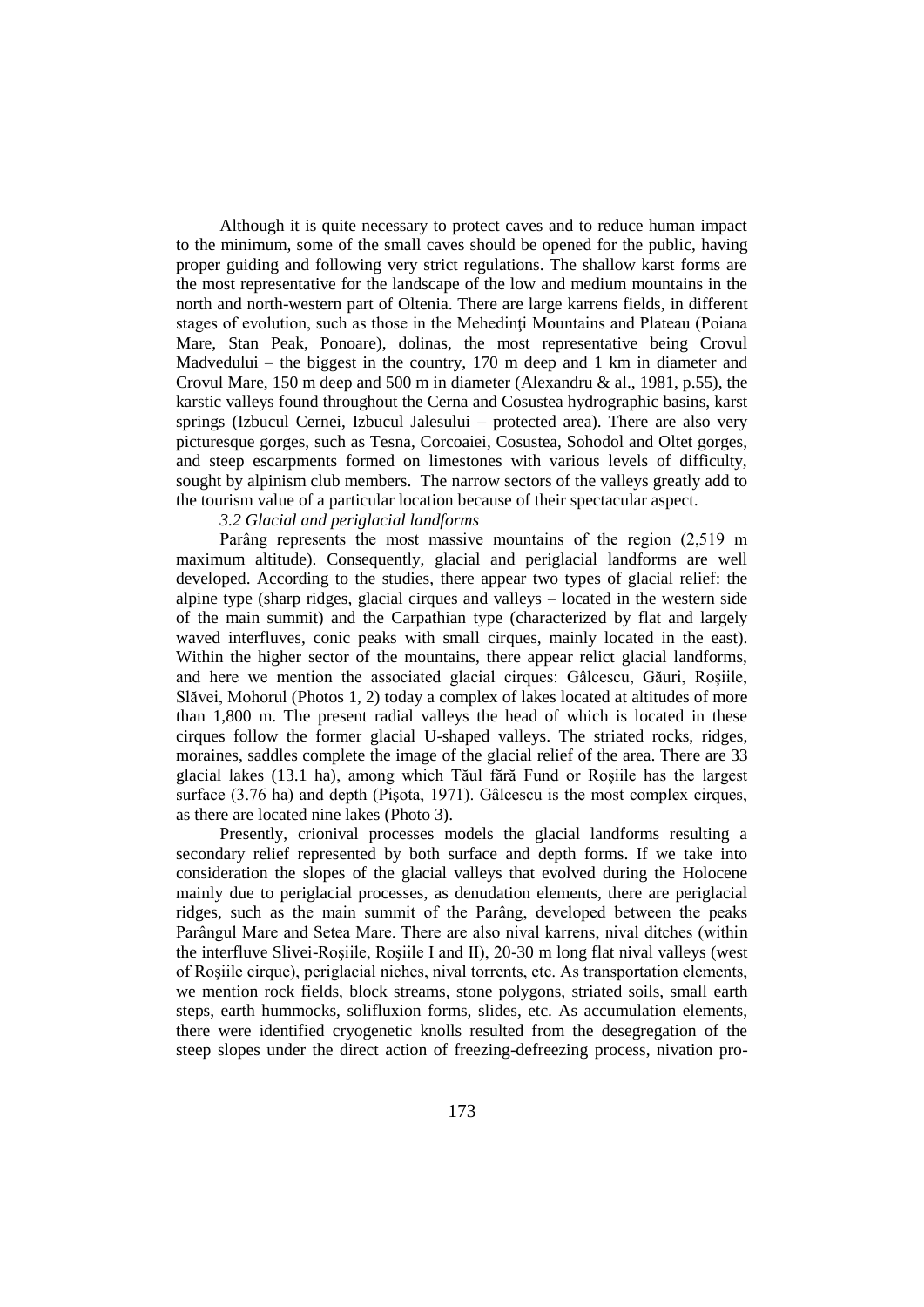Although it is quite necessary to protect caves and to reduce human impact to the minimum, some of the small caves should be opened for the public, having proper guiding and following very strict regulations. The shallow karst forms are the most representative for the landscape of the low and medium mountains in the north and north-western part of Oltenia. There are large karrens fields, in different stages of evolution, such as those in the Mehedinți Mountains and Plateau (Poiana Mare, Stan Peak, Ponoare), dolinas, the most representative being Crovul Madvedului – the biggest in the country, 170 m deep and 1 km in diameter and Crovul Mare, 150 m deep and 500 m in diameter (Alexandru & al., 1981, p.55), the karstic valleys found throughout the Cerna and Cosustea hydrographic basins, karst springs (Izbucul Cernei, Izbucul Jalesului – protected area). There are also very picturesque gorges, such as Tesna, Corcoaiei, Cosustea, Sohodol and Oltet gorges, and steep escarpments formed on limestones with various levels of difficulty, sought by alpinism club members. The narrow sectors of the valleys greatly add to the tourism value of a particular location because of their spectacular aspect.

### *3.2 Glacial and periglacial landforms*

Parâng represents the most massive mountains of the region (2,519 m maximum altitude). Consequently, glacial and periglacial landforms are well developed. According to the studies, there appear two types of glacial relief: the alpine type (sharp ridges, glacial cirques and valleys – located in the western side of the main summit) and the Carpathian type (characterized by flat and largely waved interfluves, conic peaks with small cirques, mainly located in the east). Within the higher sector of the mountains, there appear relict glacial landforms, and here we mention the associated glacial cirques: Gâlcescu, Găuri, Roşiile, Slăvei, Mohorul (Photos 1, 2) today a complex of lakes located at altitudes of more than 1,800 m. The present radial valleys the head of which is located in these cirques follow the former glacial U-shaped valleys. The striated rocks, ridges, moraines, saddles complete the image of the glacial relief of the area. There are 33 glacial lakes (13.1 ha), among which Tăul fără Fund or Roşiile has the largest surface (3.76 ha) and depth (Pişota, 1971). Gâlcescu is the most complex cirques, as there are located nine lakes (Photo 3).

Presently, crionival processes models the glacial landforms resulting a secondary relief represented by both surface and depth forms. If we take into consideration the slopes of the glacial valleys that evolved during the Holocene mainly due to periglacial processes, as denudation elements, there are periglacial ridges, such as the main summit of the Parâng, developed between the peaks Parângul Mare and Setea Mare. There are also nival karrens, nival ditches (within the interfluve Slivei-Roşiile, Roşiile I and II), 20-30 m long flat nival valleys (west of Roşiile cirque), periglacial niches, nival torrents, etc. As transportation elements, we mention rock fields, block streams, stone polygons, striated soils, small earth steps, earth hummocks, solifluxion forms, slides, etc. As accumulation elements, there were identified cryogenetic knolls resulted from the desegregation of the steep slopes under the direct action of freezing-defreezing process, nivation pro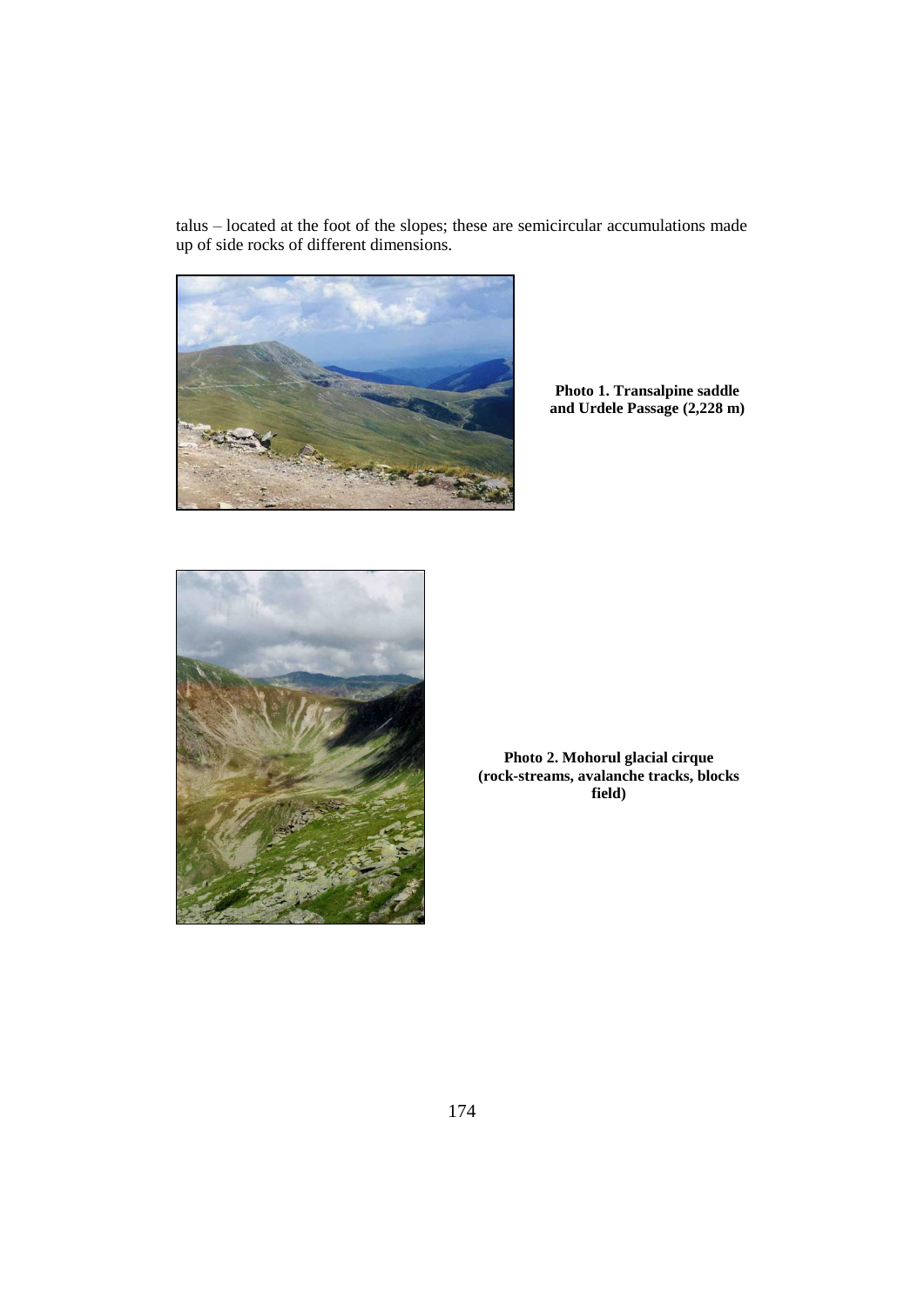talus – located at the foot of the slopes; these are semicircular accumulations made up of side rocks of different dimensions.



**Photo 1. Transalpine saddle and Urdele Passage (2,228 m)**



**Photo 2. Mohorul glacial cirque (rock-streams, avalanche tracks, blocks field)**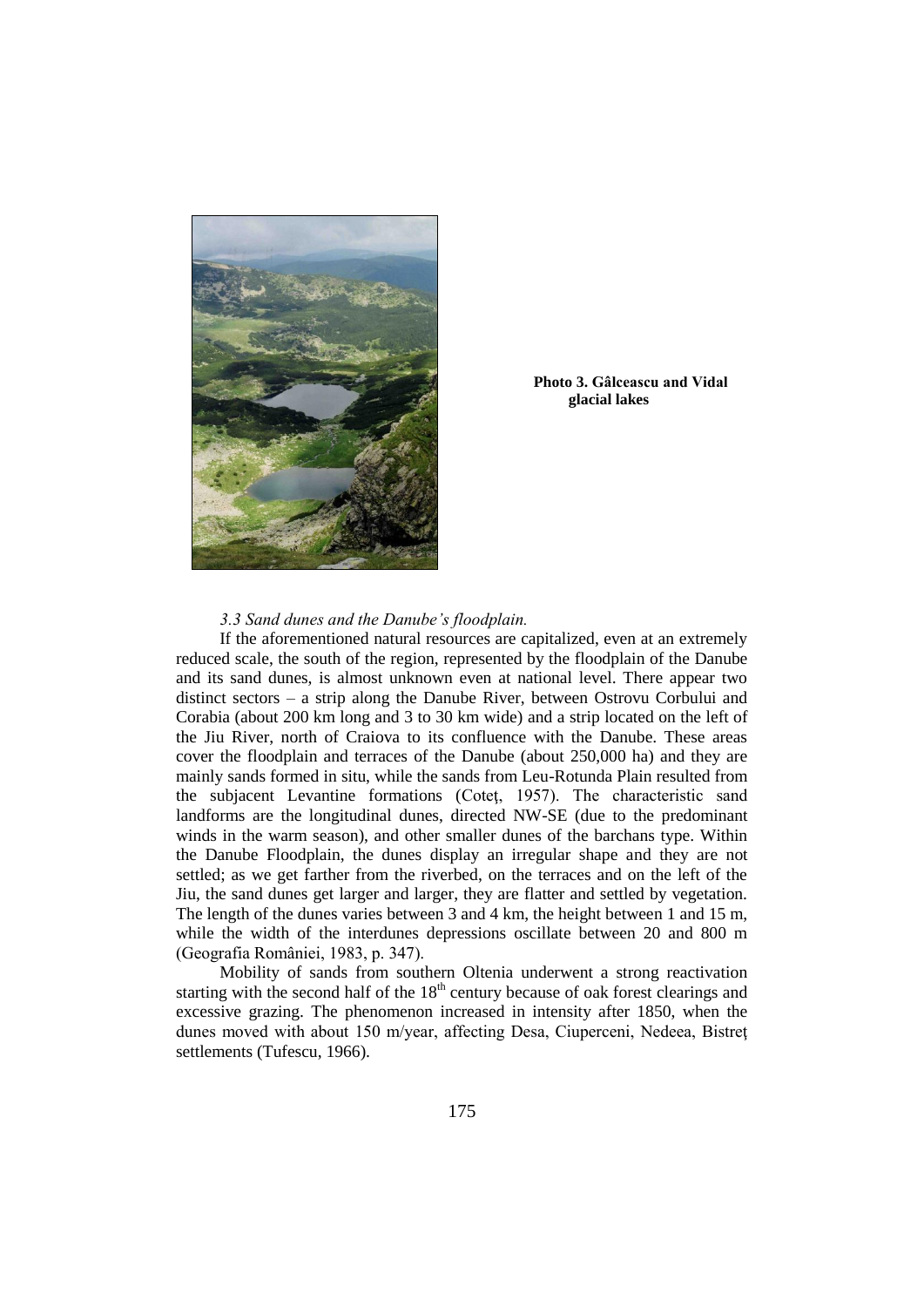

**Photo 3. Gâlceascu and Vidal glacial lakes**

### *3.3 Sand dunes and the Danube's floodplain.*

If the aforementioned natural resources are capitalized, even at an extremely reduced scale, the south of the region, represented by the floodplain of the Danube and its sand dunes, is almost unknown even at national level. There appear two distinct sectors – a strip along the Danube River, between Ostrovu Corbului and Corabia (about 200 km long and 3 to 30 km wide) and a strip located on the left of the Jiu River, north of Craiova to its confluence with the Danube. These areas cover the floodplain and terraces of the Danube (about 250,000 ha) and they are mainly sands formed in situ, while the sands from Leu-Rotunda Plain resulted from the subjacent Levantine formations (Coteţ, 1957). The characteristic sand landforms are the longitudinal dunes, directed NW-SE (due to the predominant winds in the warm season), and other smaller dunes of the barchans type. Within the Danube Floodplain, the dunes display an irregular shape and they are not settled; as we get farther from the riverbed, on the terraces and on the left of the Jiu, the sand dunes get larger and larger, they are flatter and settled by vegetation. The length of the dunes varies between 3 and 4 km, the height between 1 and 15 m, while the width of the interdunes depressions oscillate between 20 and 800 m (Geografia României, 1983, p. 347).

Mobility of sands from southern Oltenia underwent a strong reactivation starting with the second half of the  $18<sup>th</sup>$  century because of oak forest clearings and excessive grazing. The phenomenon increased in intensity after 1850, when the dunes moved with about 150 m/year, affecting Desa, Ciuperceni, Nedeea, Bistreţ settlements (Tufescu, 1966).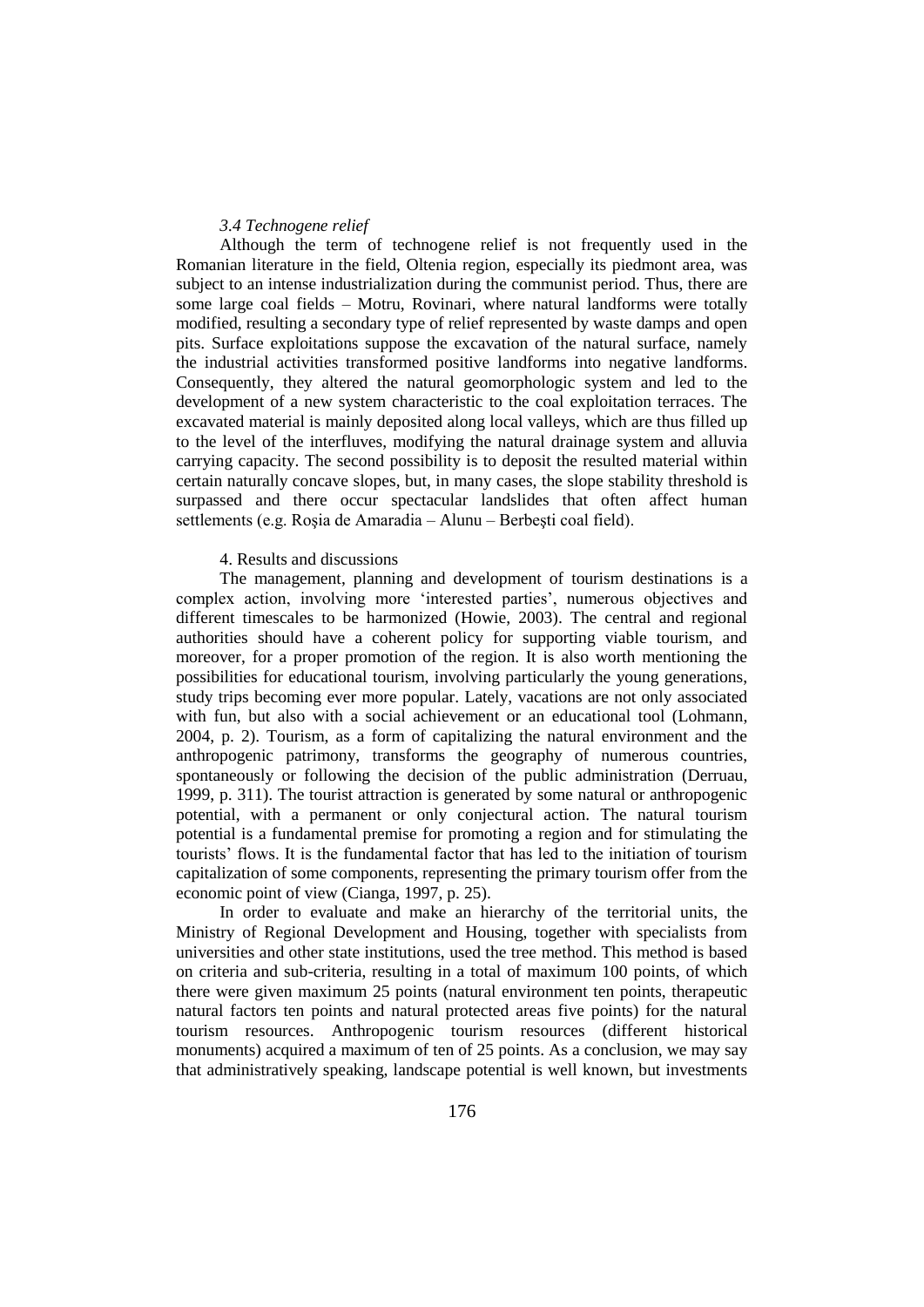#### *3.4 Technogene relief*

Although the term of technogene relief is not frequently used in the Romanian literature in the field, Oltenia region, especially its piedmont area, was subject to an intense industrialization during the communist period. Thus, there are some large coal fields – Motru, Rovinari, where natural landforms were totally modified, resulting a secondary type of relief represented by waste damps and open pits. Surface exploitations suppose the excavation of the natural surface, namely the industrial activities transformed positive landforms into negative landforms. Consequently, they altered the natural geomorphologic system and led to the development of a new system characteristic to the coal exploitation terraces. The excavated material is mainly deposited along local valleys, which are thus filled up to the level of the interfluves, modifying the natural drainage system and alluvia carrying capacity. The second possibility is to deposit the resulted material within certain naturally concave slopes, but, in many cases, the slope stability threshold is surpassed and there occur spectacular landslides that often affect human settlements (e.g. Roşia de Amaradia – Alunu – Berbeşti coal field).

#### 4. Results and discussions

The management, planning and development of tourism destinations is a complex action, involving more 'interested parties', numerous objectives and different timescales to be harmonized (Howie, 2003). The central and regional authorities should have a coherent policy for supporting viable tourism, and moreover, for a proper promotion of the region. It is also worth mentioning the possibilities for educational tourism, involving particularly the young generations, study trips becoming ever more popular. Lately, vacations are not only associated with fun, but also with a social achievement or an educational tool (Lohmann, 2004, p. 2). Tourism, as a form of capitalizing the natural environment and the anthropogenic patrimony, transforms the geography of numerous countries, spontaneously or following the decision of the public administration (Derruau, 1999, p. 311). The tourist attraction is generated by some natural or anthropogenic potential, with a permanent or only conjectural action. The natural tourism potential is a fundamental premise for promoting a region and for stimulating the tourists' flows. It is the fundamental factor that has led to the initiation of tourism capitalization of some components, representing the primary tourism offer from the economic point of view (Cianga, 1997, p. 25).

In order to evaluate and make an hierarchy of the territorial units, the Ministry of Regional Development and Housing, together with specialists from universities and other state institutions, used the tree method. This method is based on criteria and sub-criteria, resulting in a total of maximum 100 points, of which there were given maximum 25 points (natural environment ten points, therapeutic natural factors ten points and natural protected areas five points) for the natural tourism resources. Anthropogenic tourism resources (different historical monuments) acquired a maximum of ten of 25 points. As a conclusion, we may say that administratively speaking, landscape potential is well known, but investments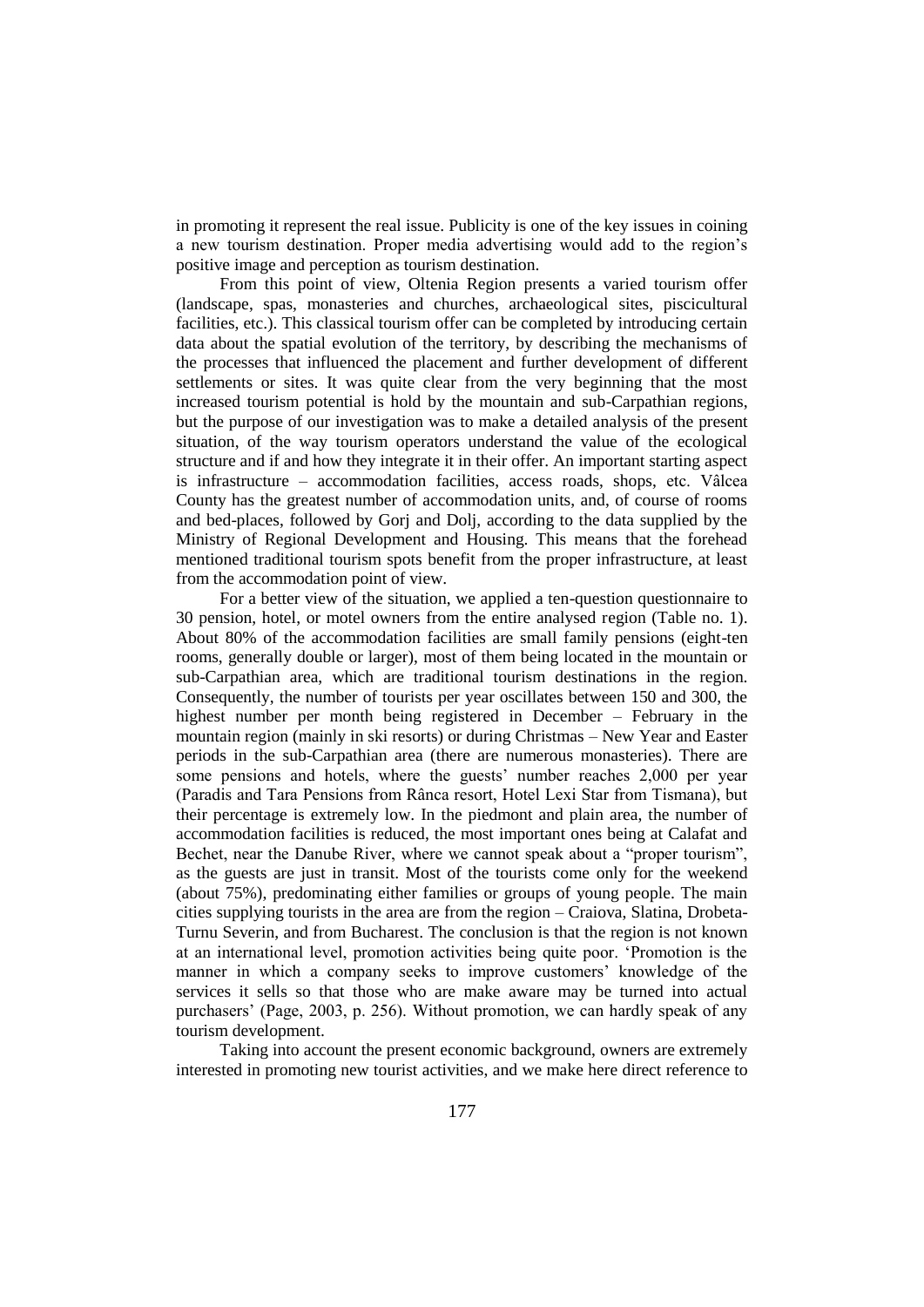in promoting it represent the real issue. Publicity is one of the key issues in coining a new tourism destination. Proper media advertising would add to the region's positive image and perception as tourism destination.

From this point of view, Oltenia Region presents a varied tourism offer (landscape, spas, monasteries and churches, archaeological sites, piscicultural facilities, etc.). This classical tourism offer can be completed by introducing certain data about the spatial evolution of the territory, by describing the mechanisms of the processes that influenced the placement and further development of different settlements or sites. It was quite clear from the very beginning that the most increased tourism potential is hold by the mountain and sub-Carpathian regions, but the purpose of our investigation was to make a detailed analysis of the present situation, of the way tourism operators understand the value of the ecological structure and if and how they integrate it in their offer. An important starting aspect is infrastructure – accommodation facilities, access roads, shops, etc. Vâlcea County has the greatest number of accommodation units, and, of course of rooms and bed-places, followed by Gorj and Dolj, according to the data supplied by the Ministry of Regional Development and Housing. This means that the forehead mentioned traditional tourism spots benefit from the proper infrastructure, at least from the accommodation point of view.

For a better view of the situation, we applied a ten-question questionnaire to 30 pension, hotel, or motel owners from the entire analysed region (Table no. 1). About 80% of the accommodation facilities are small family pensions (eight-ten rooms, generally double or larger), most of them being located in the mountain or sub-Carpathian area, which are traditional tourism destinations in the region. Consequently, the number of tourists per year oscillates between 150 and 300, the highest number per month being registered in December – February in the mountain region (mainly in ski resorts) or during Christmas – New Year and Easter periods in the sub-Carpathian area (there are numerous monasteries). There are some pensions and hotels, where the guests' number reaches 2,000 per year (Paradis and Tara Pensions from Rânca resort, Hotel Lexi Star from Tismana), but their percentage is extremely low. In the piedmont and plain area, the number of accommodation facilities is reduced, the most important ones being at Calafat and Bechet, near the Danube River, where we cannot speak about a "proper tourism", as the guests are just in transit. Most of the tourists come only for the weekend (about 75%), predominating either families or groups of young people. The main cities supplying tourists in the area are from the region – Craiova, Slatina, Drobeta-Turnu Severin, and from Bucharest. The conclusion is that the region is not known at an international level, promotion activities being quite poor. 'Promotion is the manner in which a company seeks to improve customers' knowledge of the services it sells so that those who are make aware may be turned into actual purchasers' (Page, 2003, p. 256). Without promotion, we can hardly speak of any tourism development.

Taking into account the present economic background, owners are extremely interested in promoting new tourist activities, and we make here direct reference to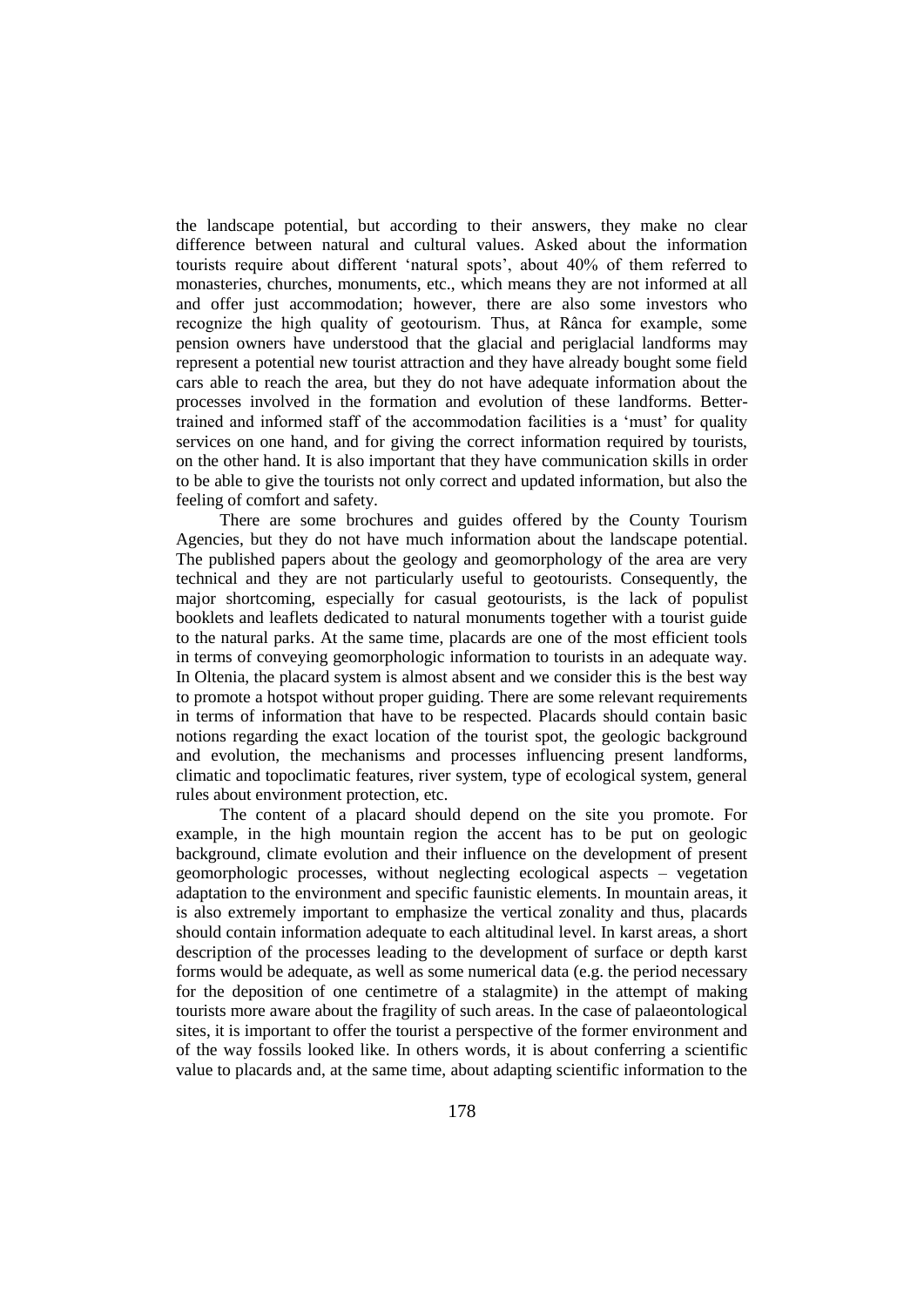the landscape potential, but according to their answers, they make no clear difference between natural and cultural values. Asked about the information tourists require about different 'natural spots', about 40% of them referred to monasteries, churches, monuments, etc., which means they are not informed at all and offer just accommodation; however, there are also some investors who recognize the high quality of geotourism. Thus, at Rânca for example, some pension owners have understood that the glacial and periglacial landforms may represent a potential new tourist attraction and they have already bought some field cars able to reach the area, but they do not have adequate information about the processes involved in the formation and evolution of these landforms. Bettertrained and informed staff of the accommodation facilities is a 'must' for quality services on one hand, and for giving the correct information required by tourists, on the other hand. It is also important that they have communication skills in order to be able to give the tourists not only correct and updated information, but also the feeling of comfort and safety.

There are some brochures and guides offered by the County Tourism Agencies, but they do not have much information about the landscape potential. The published papers about the geology and geomorphology of the area are very technical and they are not particularly useful to geotourists. Consequently, the major shortcoming, especially for casual geotourists, is the lack of populist booklets and leaflets dedicated to natural monuments together with a tourist guide to the natural parks. At the same time, placards are one of the most efficient tools in terms of conveying geomorphologic information to tourists in an adequate way. In Oltenia, the placard system is almost absent and we consider this is the best way to promote a hotspot without proper guiding. There are some relevant requirements in terms of information that have to be respected. Placards should contain basic notions regarding the exact location of the tourist spot, the geologic background and evolution, the mechanisms and processes influencing present landforms, climatic and topoclimatic features, river system, type of ecological system, general rules about environment protection, etc.

The content of a placard should depend on the site you promote. For example, in the high mountain region the accent has to be put on geologic background, climate evolution and their influence on the development of present geomorphologic processes, without neglecting ecological aspects – vegetation adaptation to the environment and specific faunistic elements. In mountain areas, it is also extremely important to emphasize the vertical zonality and thus, placards should contain information adequate to each altitudinal level. In karst areas, a short description of the processes leading to the development of surface or depth karst forms would be adequate, as well as some numerical data (e.g. the period necessary for the deposition of one centimetre of a stalagmite) in the attempt of making tourists more aware about the fragility of such areas. In the case of palaeontological sites, it is important to offer the tourist a perspective of the former environment and of the way fossils looked like. In others words, it is about conferring a scientific value to placards and, at the same time, about adapting scientific information to the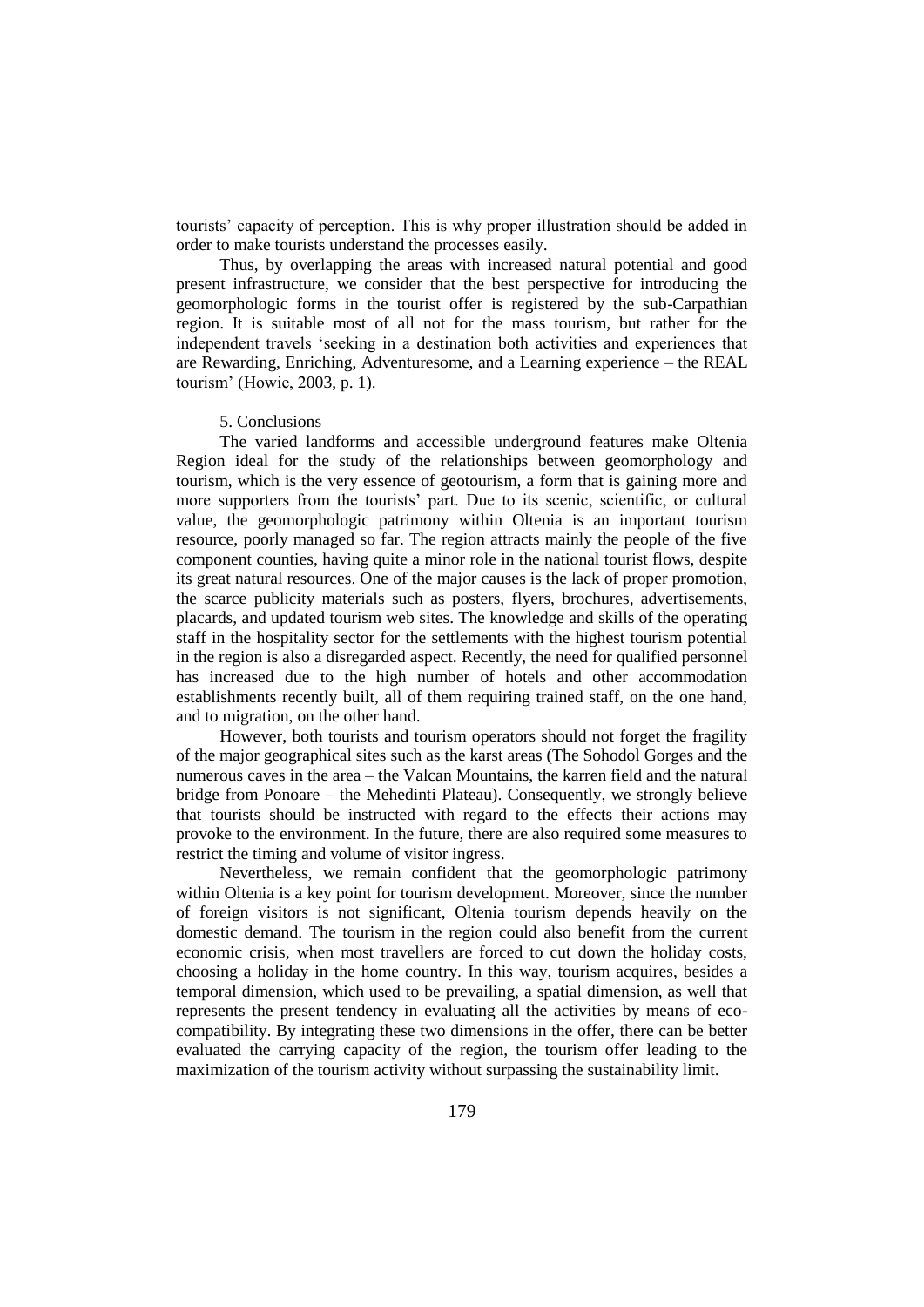tourists' capacity of perception. This is why proper illustration should be added in order to make tourists understand the processes easily.

Thus, by overlapping the areas with increased natural potential and good present infrastructure, we consider that the best perspective for introducing the geomorphologic forms in the tourist offer is registered by the sub-Carpathian region. It is suitable most of all not for the mass tourism, but rather for the independent travels 'seeking in a destination both activities and experiences that are Rewarding, Enriching, Adventuresome, and a Learning experience – the REAL tourism' (Howie, 2003, p. 1).

#### 5. Conclusions

The varied landforms and accessible underground features make Oltenia Region ideal for the study of the relationships between geomorphology and tourism, which is the very essence of geotourism, a form that is gaining more and more supporters from the tourists' part. Due to its scenic, scientific, or cultural value, the geomorphologic patrimony within Oltenia is an important tourism resource, poorly managed so far. The region attracts mainly the people of the five component counties, having quite a minor role in the national tourist flows, despite its great natural resources. One of the major causes is the lack of proper promotion, the scarce publicity materials such as posters, flyers, brochures, advertisements, placards, and updated tourism web sites. The knowledge and skills of the operating staff in the hospitality sector for the settlements with the highest tourism potential in the region is also a disregarded aspect. Recently, the need for qualified personnel has increased due to the high number of hotels and other accommodation establishments recently built, all of them requiring trained staff, on the one hand, and to migration, on the other hand.

However, both tourists and tourism operators should not forget the fragility of the major geographical sites such as the karst areas (The Sohodol Gorges and the numerous caves in the area – the Valcan Mountains, the karren field and the natural bridge from Ponoare – the Mehedinti Plateau). Consequently, we strongly believe that tourists should be instructed with regard to the effects their actions may provoke to the environment. In the future, there are also required some measures to restrict the timing and volume of visitor ingress.

Nevertheless, we remain confident that the geomorphologic patrimony within Oltenia is a key point for tourism development. Moreover, since the number of foreign visitors is not significant, Oltenia tourism depends heavily on the domestic demand. The tourism in the region could also benefit from the current economic crisis, when most travellers are forced to cut down the holiday costs, choosing a holiday in the home country. In this way, tourism acquires, besides a temporal dimension, which used to be prevailing, a spatial dimension, as well that represents the present tendency in evaluating all the activities by means of ecocompatibility. By integrating these two dimensions in the offer, there can be better evaluated the carrying capacity of the region, the tourism offer leading to the maximization of the tourism activity without surpassing the sustainability limit.